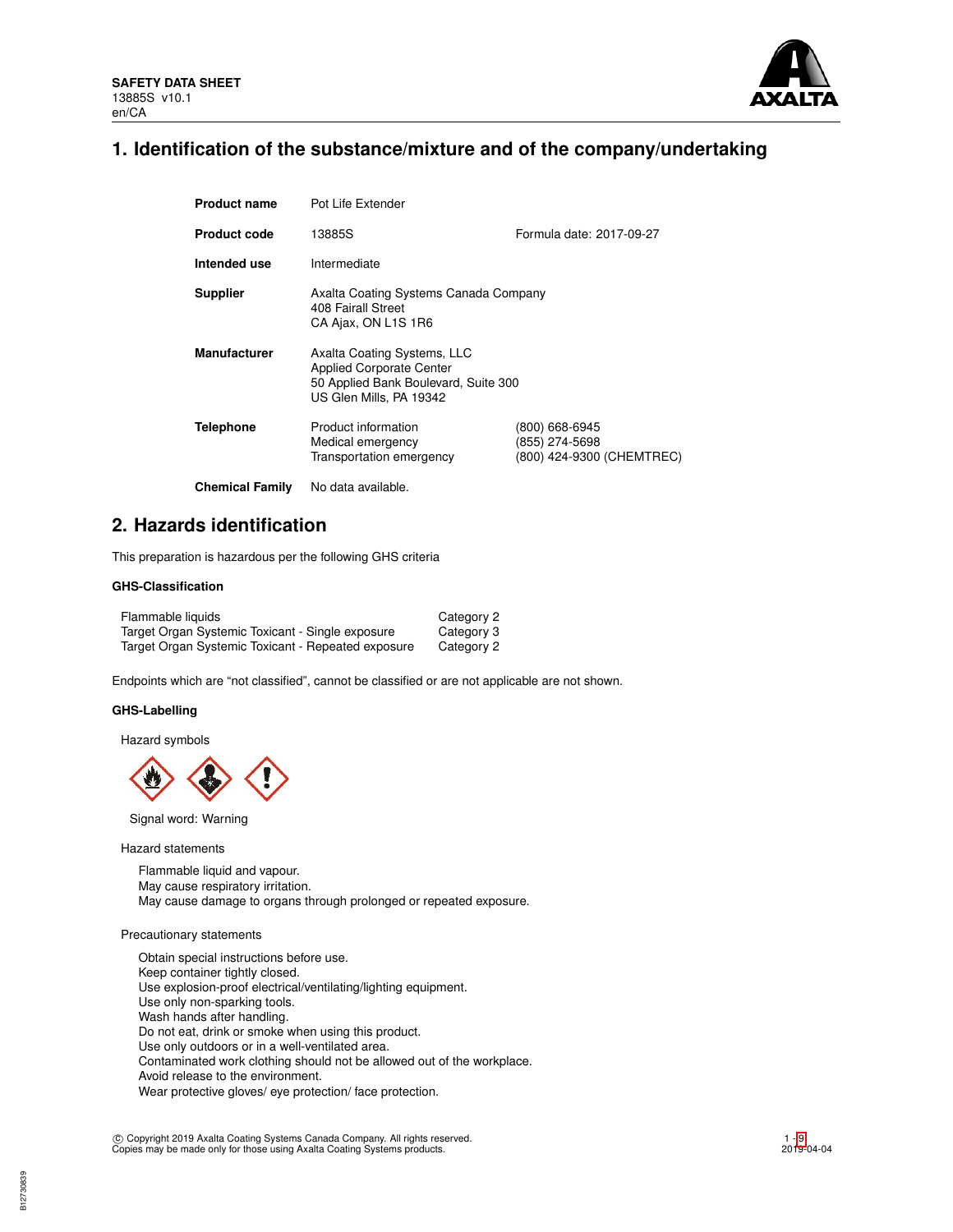

# **1. Identification of the substance/mixture and of the company/undertaking**

| <b>Product name</b>    | Pot Life Extender                                                                                                                 |                                                               |
|------------------------|-----------------------------------------------------------------------------------------------------------------------------------|---------------------------------------------------------------|
| <b>Product code</b>    | 13885S                                                                                                                            | Formula date: 2017-09-27                                      |
| Intended use           | Intermediate                                                                                                                      |                                                               |
| <b>Supplier</b>        | Axalta Coating Systems Canada Company<br>408 Fairall Street<br>CA Ajax, ON L1S 1R6                                                |                                                               |
| <b>Manufacturer</b>    | Axalta Coating Systems, LLC<br><b>Applied Corporate Center</b><br>50 Applied Bank Boulevard, Suite 300<br>US Glen Mills, PA 19342 |                                                               |
| Telephone              | Product information<br>Medical emergency<br>Transportation emergency                                                              | (800) 668-6945<br>(855) 274-5698<br>(800) 424-9300 (CHEMTREC) |
| <b>Chemical Family</b> | No data available.                                                                                                                |                                                               |

# **2. Hazards identification**

This preparation is hazardous per the following GHS criteria

## **GHS-Classification**

| Flammable liquids                                  | Category 2 |
|----------------------------------------------------|------------|
| Target Organ Systemic Toxicant - Single exposure   | Category 3 |
| Target Organ Systemic Toxicant - Repeated exposure | Category 2 |

Endpoints which are "not classified", cannot be classified or are not applicable are not shown.

### **GHS-Labelling**

Hazard symbols



Signal word: Warning

Hazard statements

Flammable liquid and vapour. May cause respiratory irritation. May cause damage to organs through prolonged or repeated exposure.

### Precautionary statements

Obtain special instructions before use. Keep container tightly closed. Use explosion-proof electrical/ventilating/lighting equipment. Use only non-sparking tools. Wash hands after handling. Do not eat, drink or smoke when using this product. Use only outdoors or in a well-ventilated area. Contaminated work clothing should not be allowed out of the workplace. Avoid release to the environment. Wear protective gloves/ eye protection/ face protection.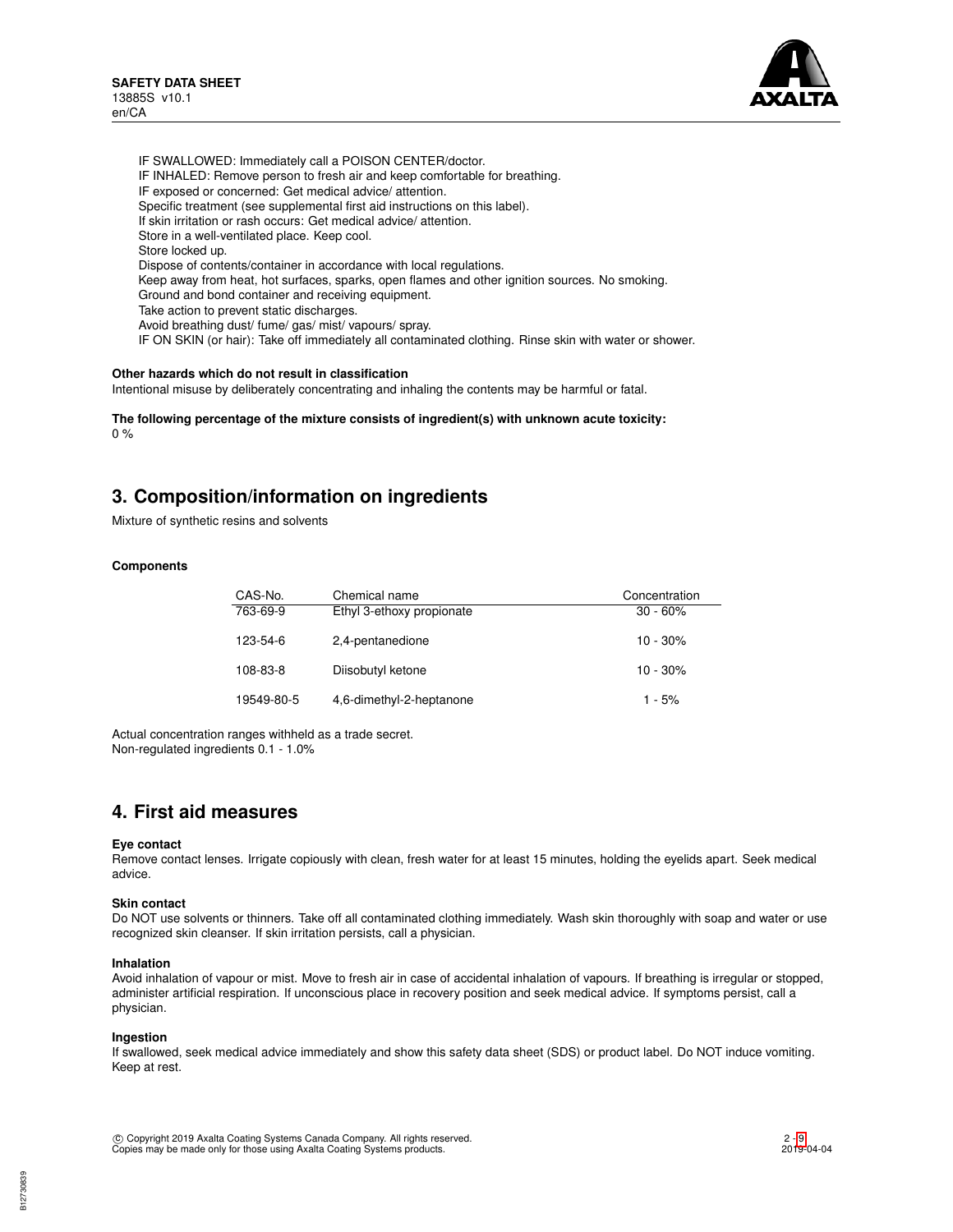

IF SWALLOWED: Immediately call a POISON CENTER/doctor. IF INHALED: Remove person to fresh air and keep comfortable for breathing. IF exposed or concerned: Get medical advice/ attention. Specific treatment (see supplemental first aid instructions on this label). If skin irritation or rash occurs: Get medical advice/ attention. Store in a well-ventilated place. Keep cool. Store locked up. Dispose of contents/container in accordance with local regulations. Keep away from heat, hot surfaces, sparks, open flames and other ignition sources. No smoking. Ground and bond container and receiving equipment. Take action to prevent static discharges. Avoid breathing dust/ fume/ gas/ mist/ vapours/ spray. IF ON SKIN (or hair): Take off immediately all contaminated clothing. Rinse skin with water or shower.

# **Other hazards which do not result in classification**

Intentional misuse by deliberately concentrating and inhaling the contents may be harmful or fatal.

**The following percentage of the mixture consists of ingredient(s) with unknown acute toxicity:**  $0 %$ 

# **3. Composition/information on ingredients**

Mixture of synthetic resins and solvents

### **Components**

| CAS-No.    | Chemical name             | Concentration |
|------------|---------------------------|---------------|
| 763-69-9   | Ethyl 3-ethoxy propionate | $30 - 60%$    |
| 123-54-6   | 2,4-pentanedione          | $10 - 30%$    |
| 108-83-8   | Diisobutyl ketone         | $10 - 30%$    |
| 19549-80-5 | 4,6-dimethyl-2-heptanone  | $1 - 5%$      |

Actual concentration ranges withheld as a trade secret. Non-regulated ingredients 0.1 - 1.0%

# **4. First aid measures**

### **Eye contact**

Remove contact lenses. Irrigate copiously with clean, fresh water for at least 15 minutes, holding the eyelids apart. Seek medical advice.

### **Skin contact**

Do NOT use solvents or thinners. Take off all contaminated clothing immediately. Wash skin thoroughly with soap and water or use recognized skin cleanser. If skin irritation persists, call a physician.

#### **Inhalation**

Avoid inhalation of vapour or mist. Move to fresh air in case of accidental inhalation of vapours. If breathing is irregular or stopped, administer artificial respiration. If unconscious place in recovery position and seek medical advice. If symptoms persist, call a physician.

#### **Ingestion**

If swallowed, seek medical advice immediately and show this safety data sheet (SDS) or product label. Do NOT induce vomiting. Keep at rest.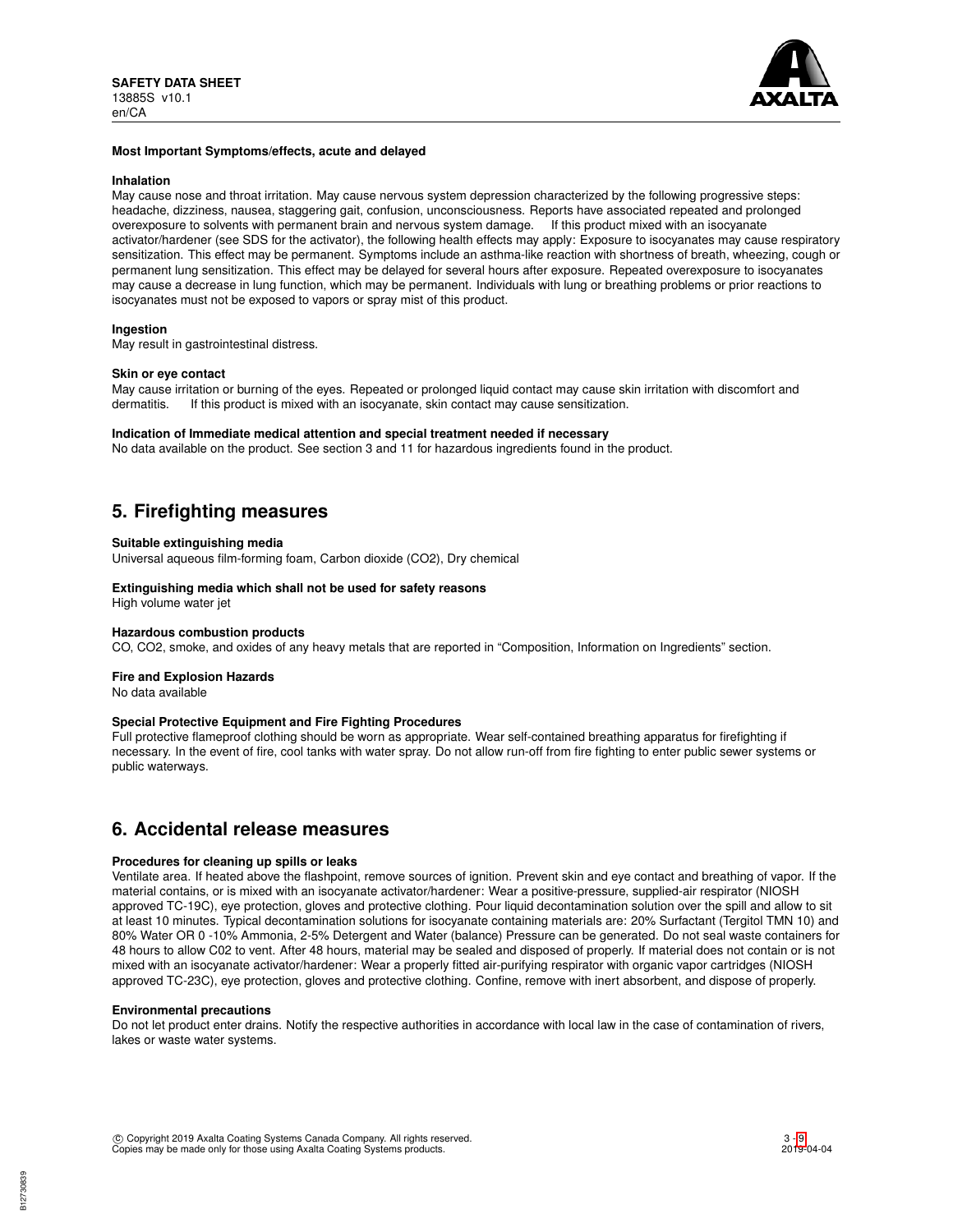

### **Most Important Symptoms/effects, acute and delayed**

#### **Inhalation**

May cause nose and throat irritation. May cause nervous system depression characterized by the following progressive steps: headache, dizziness, nausea, staggering gait, confusion, unconsciousness. Reports have associated repeated and prolonged overexposure to solvents with permanent brain and nervous system damage. If this product mixed with an isocyanate activator/hardener (see SDS for the activator), the following health effects may apply: Exposure to isocyanates may cause respiratory sensitization. This effect may be permanent. Symptoms include an asthma-like reaction with shortness of breath, wheezing, cough or permanent lung sensitization. This effect may be delayed for several hours after exposure. Repeated overexposure to isocyanates may cause a decrease in lung function, which may be permanent. Individuals with lung or breathing problems or prior reactions to isocyanates must not be exposed to vapors or spray mist of this product.

### **Ingestion**

May result in gastrointestinal distress.

### **Skin or eye contact**

May cause irritation or burning of the eyes. Repeated or prolonged liquid contact may cause skin irritation with discomfort and dermatitis. If this product is mixed with an isocvanate. Skin contact may cause sensitization. If this product is mixed with an isocyanate, skin contact may cause sensitization.

### **Indication of Immediate medical attention and special treatment needed if necessary**

No data available on the product. See section 3 and 11 for hazardous ingredients found in the product.

# **5. Firefighting measures**

### **Suitable extinguishing media**

Universal aqueous film-forming foam, Carbon dioxide (CO2), Dry chemical

# **Extinguishing media which shall not be used for safety reasons**

High volume water jet

### **Hazardous combustion products**

CO, CO2, smoke, and oxides of any heavy metals that are reported in "Composition, Information on Ingredients" section.

### **Fire and Explosion Hazards**

No data available

### **Special Protective Equipment and Fire Fighting Procedures**

Full protective flameproof clothing should be worn as appropriate. Wear self-contained breathing apparatus for firefighting if necessary. In the event of fire, cool tanks with water spray. Do not allow run-off from fire fighting to enter public sewer systems or public waterways.

# **6. Accidental release measures**

### **Procedures for cleaning up spills or leaks**

Ventilate area. If heated above the flashpoint, remove sources of ignition. Prevent skin and eye contact and breathing of vapor. If the material contains, or is mixed with an isocyanate activator/hardener: Wear a positive-pressure, supplied-air respirator (NIOSH approved TC-19C), eye protection, gloves and protective clothing. Pour liquid decontamination solution over the spill and allow to sit at least 10 minutes. Typical decontamination solutions for isocyanate containing materials are: 20% Surfactant (Tergitol TMN 10) and 80% Water OR 0 -10% Ammonia, 2-5% Detergent and Water (balance) Pressure can be generated. Do not seal waste containers for 48 hours to allow C02 to vent. After 48 hours, material may be sealed and disposed of properly. If material does not contain or is not mixed with an isocyanate activator/hardener: Wear a properly fitted air-purifying respirator with organic vapor cartridges (NIOSH approved TC-23C), eye protection, gloves and protective clothing. Confine, remove with inert absorbent, and dispose of properly.

### **Environmental precautions**

Do not let product enter drains. Notify the respective authorities in accordance with local law in the case of contamination of rivers, lakes or waste water systems.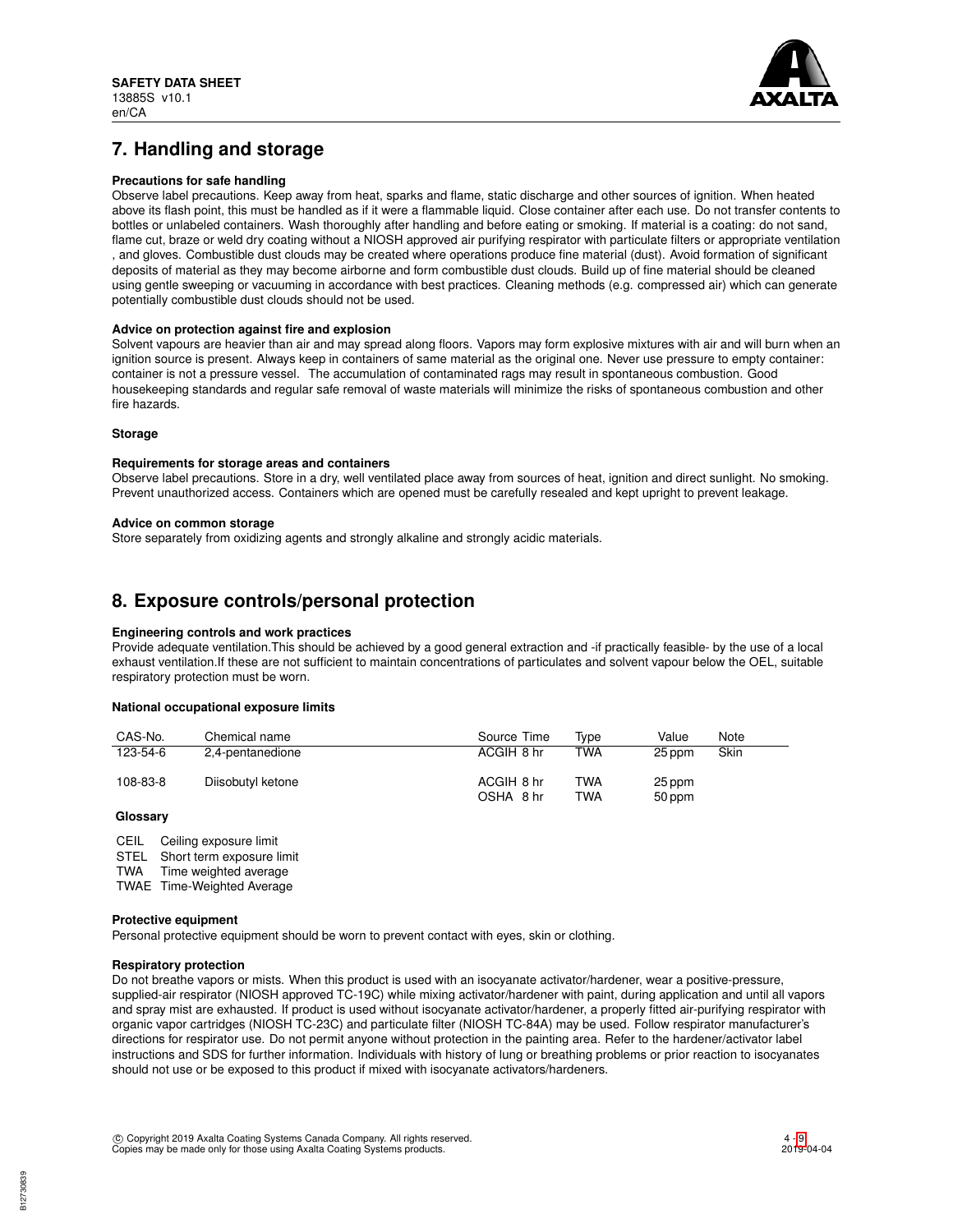

# **7. Handling and storage**

## **Precautions for safe handling**

Observe label precautions. Keep away from heat, sparks and flame, static discharge and other sources of ignition. When heated above its flash point, this must be handled as if it were a flammable liquid. Close container after each use. Do not transfer contents to bottles or unlabeled containers. Wash thoroughly after handling and before eating or smoking. If material is a coating: do not sand, flame cut, braze or weld dry coating without a NIOSH approved air purifying respirator with particulate filters or appropriate ventilation , and gloves. Combustible dust clouds may be created where operations produce fine material (dust). Avoid formation of significant deposits of material as they may become airborne and form combustible dust clouds. Build up of fine material should be cleaned using gentle sweeping or vacuuming in accordance with best practices. Cleaning methods (e.g. compressed air) which can generate potentially combustible dust clouds should not be used.

### **Advice on protection against fire and explosion**

Solvent vapours are heavier than air and may spread along floors. Vapors may form explosive mixtures with air and will burn when an ignition source is present. Always keep in containers of same material as the original one. Never use pressure to empty container: container is not a pressure vessel. The accumulation of contaminated rags may result in spontaneous combustion. Good housekeeping standards and regular safe removal of waste materials will minimize the risks of spontaneous combustion and other fire hazards.

### **Storage**

### **Requirements for storage areas and containers**

Observe label precautions. Store in a dry, well ventilated place away from sources of heat, ignition and direct sunlight. No smoking. Prevent unauthorized access. Containers which are opened must be carefully resealed and kept upright to prevent leakage.

### **Advice on common storage**

Store separately from oxidizing agents and strongly alkaline and strongly acidic materials.

# **8. Exposure controls/personal protection**

## **Engineering controls and work practices**

Provide adequate ventilation.This should be achieved by a good general extraction and -if practically feasible- by the use of a local exhaust ventilation.If these are not sufficient to maintain concentrations of particulates and solvent vapour below the OEL, suitable respiratory protection must be worn.

### **National occupational exposure limits**

| CAS-No.  | Chemical name     | Source Time             | Tvpe       | Value            | Note |
|----------|-------------------|-------------------------|------------|------------------|------|
| 123-54-6 | 2,4-pentanedione  | ACGIH 8 hr              | <b>TWA</b> | 25 ppm           | Skin |
| 108-83-8 | Diisobutyl ketone | ACGIH 8 hr<br>OSHA 8 hr | TWA<br>TWA | 25 ppm<br>50 ppm |      |

# **Glossary**

CEIL Ceiling exposure limit

STEL Short term exposure limit<br>TWA Time weighted average

Time weighted average

TWAE Time-Weighted Average

### **Protective equipment**

Personal protective equipment should be worn to prevent contact with eyes, skin or clothing.

## **Respiratory protection**

Do not breathe vapors or mists. When this product is used with an isocyanate activator/hardener, wear a positive-pressure, supplied-air respirator (NIOSH approved TC-19C) while mixing activator/hardener with paint, during application and until all vapors and spray mist are exhausted. If product is used without isocyanate activator/hardener, a properly fitted air-purifying respirator with organic vapor cartridges (NIOSH TC-23C) and particulate filter (NIOSH TC-84A) may be used. Follow respirator manufacturer's directions for respirator use. Do not permit anyone without protection in the painting area. Refer to the hardener/activator label instructions and SDS for further information. Individuals with history of lung or breathing problems or prior reaction to isocyanates should not use or be exposed to this product if mixed with isocyanate activators/hardeners.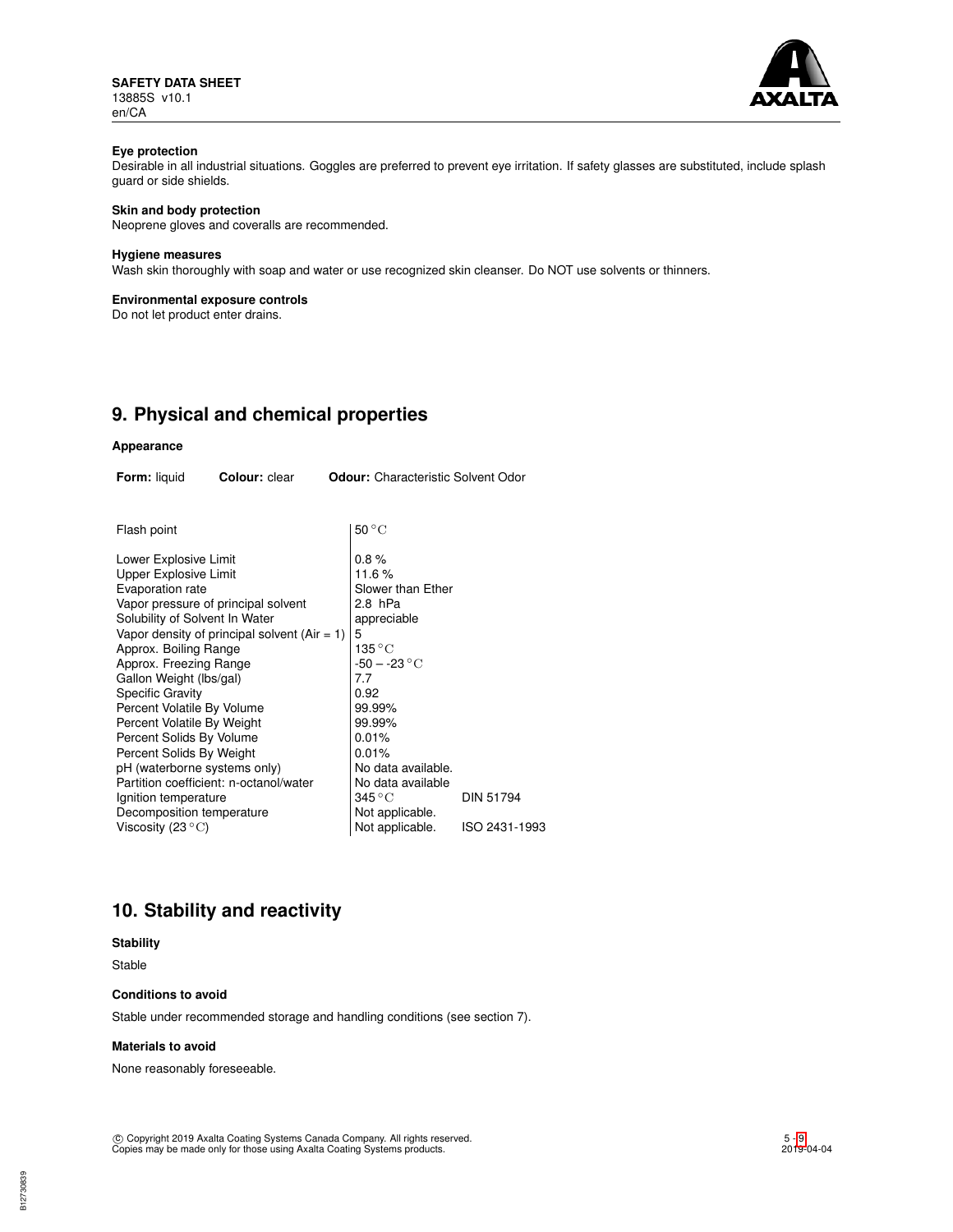**SAFETY DATA SHEET** 13885S v10.1 en/CA



# **Eye protection**

Desirable in all industrial situations. Goggles are preferred to prevent eye irritation. If safety glasses are substituted, include splash guard or side shields.

# **Skin and body protection**

Neoprene gloves and coveralls are recommended.

### **Hygiene measures**

Wash skin thoroughly with soap and water or use recognized skin cleanser. Do NOT use solvents or thinners.

### **Environmental exposure controls**

Do not let product enter drains.

# **9. Physical and chemical properties**

# **Appearance**

| <b>Form:</b> liquid                                                                                                                                                                                                                                                                                                                                                                                                                                                                          | <b>Colour:</b> clear                                                                      |   | <b>Odour:</b> Characteristic Solvent Odor                                                                                                                                                                                                                    |                                   |
|----------------------------------------------------------------------------------------------------------------------------------------------------------------------------------------------------------------------------------------------------------------------------------------------------------------------------------------------------------------------------------------------------------------------------------------------------------------------------------------------|-------------------------------------------------------------------------------------------|---|--------------------------------------------------------------------------------------------------------------------------------------------------------------------------------------------------------------------------------------------------------------|-----------------------------------|
| Flash point                                                                                                                                                                                                                                                                                                                                                                                                                                                                                  |                                                                                           |   | $50^{\circ}$ C                                                                                                                                                                                                                                               |                                   |
| Lower Explosive Limit<br>Upper Explosive Limit<br>Evaporation rate<br>Vapor pressure of principal solvent<br>Solubility of Solvent In Water<br>Approx. Boiling Range<br>Approx. Freezing Range<br>Gallon Weight (lbs/gal)<br><b>Specific Gravity</b><br>Percent Volatile By Volume<br>Percent Volatile By Weight<br>Percent Solids By Volume<br>Percent Solids By Weight<br>pH (waterborne systems only)<br>Ignition temperature<br>Decomposition temperature<br>Viscosity (23 $^{\circ}$ C) | Vapor density of principal solvent (Air $= 1$ )<br>Partition coefficient: n-octanol/water | 5 | 0.8%<br>11.6%<br>Slower than Ether<br>2.8 hPa<br>appreciable<br>135 ° C<br>$-50 - -23 °C$<br>7.7<br>0.92<br>99.99%<br>99.99%<br>0.01%<br>0.01%<br>No data available.<br>No data available<br>$345\,^{\circ}\mathrm{C}$<br>Not applicable.<br>Not applicable. | <b>DIN 51794</b><br>ISO 2431-1993 |
|                                                                                                                                                                                                                                                                                                                                                                                                                                                                                              |                                                                                           |   |                                                                                                                                                                                                                                                              |                                   |

# **10. Stability and reactivity**

# **Stability**

Stable

# **Conditions to avoid**

Stable under recommended storage and handling conditions (see section 7).

#### **Materials to avoid**

None reasonably foreseeable.

c Copyright 2019 Axalta Coating Systems Canada Company. All rights reserved. Copies may be made only for those using Axalta Coating Systems products.

B12730839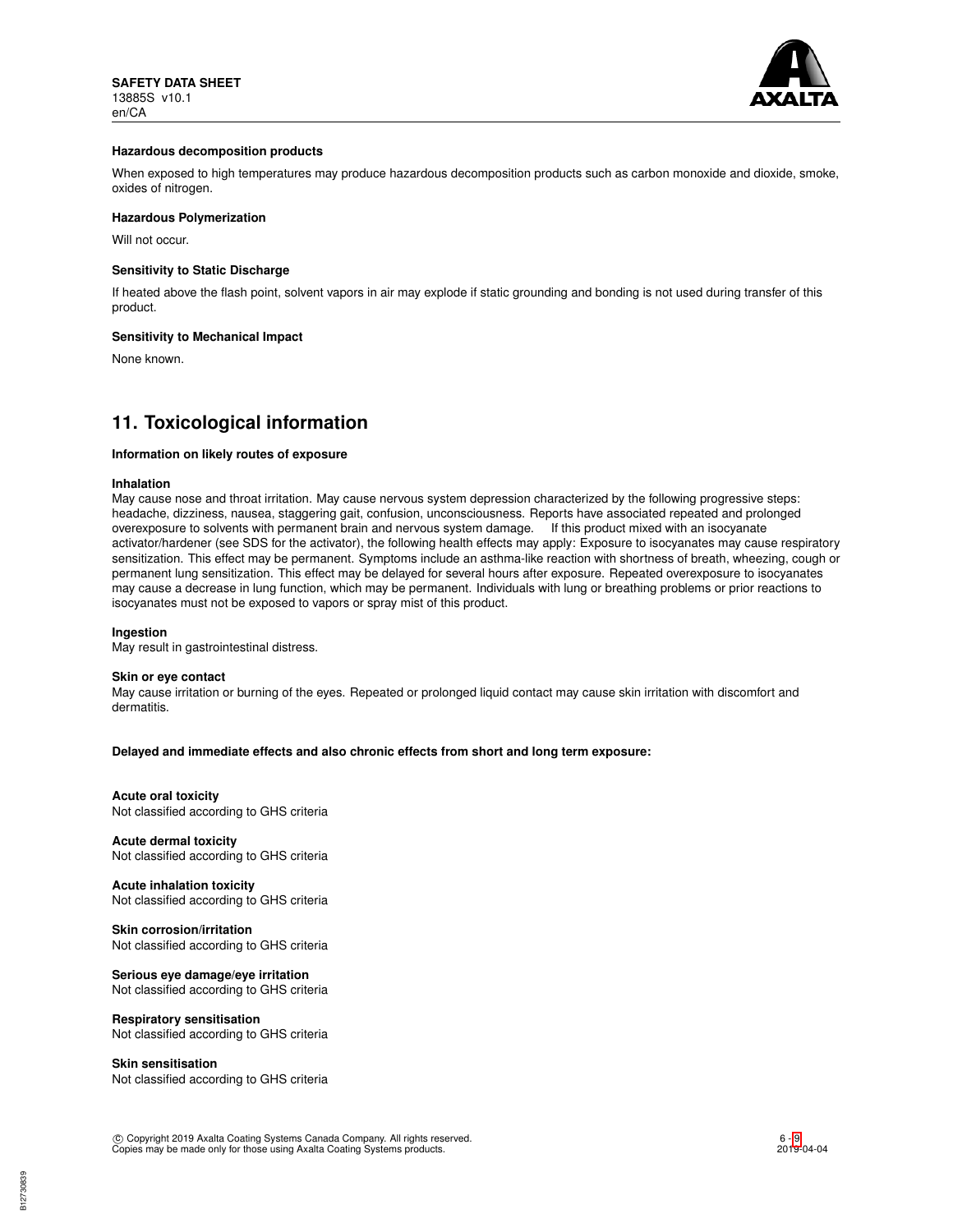

### **Hazardous decomposition products**

When exposed to high temperatures may produce hazardous decomposition products such as carbon monoxide and dioxide, smoke, oxides of nitrogen.

### **Hazardous Polymerization**

Will not occur.

### **Sensitivity to Static Discharge**

If heated above the flash point, solvent vapors in air may explode if static grounding and bonding is not used during transfer of this product.

#### **Sensitivity to Mechanical Impact**

None known.

# **11. Toxicological information**

# **Information on likely routes of exposure**

#### **Inhalation**

May cause nose and throat irritation. May cause nervous system depression characterized by the following progressive steps: headache, dizziness, nausea, staggering gait, confusion, unconsciousness. Reports have associated repeated and prolonged overexposure to solvents with permanent brain and nervous system damage. If this product mixed with an isocyanate activator/hardener (see SDS for the activator), the following health effects may apply: Exposure to isocyanates may cause respiratory sensitization. This effect may be permanent. Symptoms include an asthma-like reaction with shortness of breath, wheezing, cough or permanent lung sensitization. This effect may be delayed for several hours after exposure. Repeated overexposure to isocyanates may cause a decrease in lung function, which may be permanent. Individuals with lung or breathing problems or prior reactions to isocyanates must not be exposed to vapors or spray mist of this product.

### **Ingestion**

May result in gastrointestinal distress.

#### **Skin or eye contact**

May cause irritation or burning of the eyes. Repeated or prolonged liquid contact may cause skin irritation with discomfort and dermatitis.

**Delayed and immediate effects and also chronic effects from short and long term exposure:**

## **Acute oral toxicity**

Not classified according to GHS criteria

**Acute dermal toxicity** Not classified according to GHS criteria

**Acute inhalation toxicity** Not classified according to GHS criteria

### **Skin corrosion/irritation**

Not classified according to GHS criteria

**Serious eye damage/eye irritation** Not classified according to GHS criteria

### **Respiratory sensitisation**

Not classified according to GHS criteria

### **Skin sensitisation**

Not classified according to GHS criteria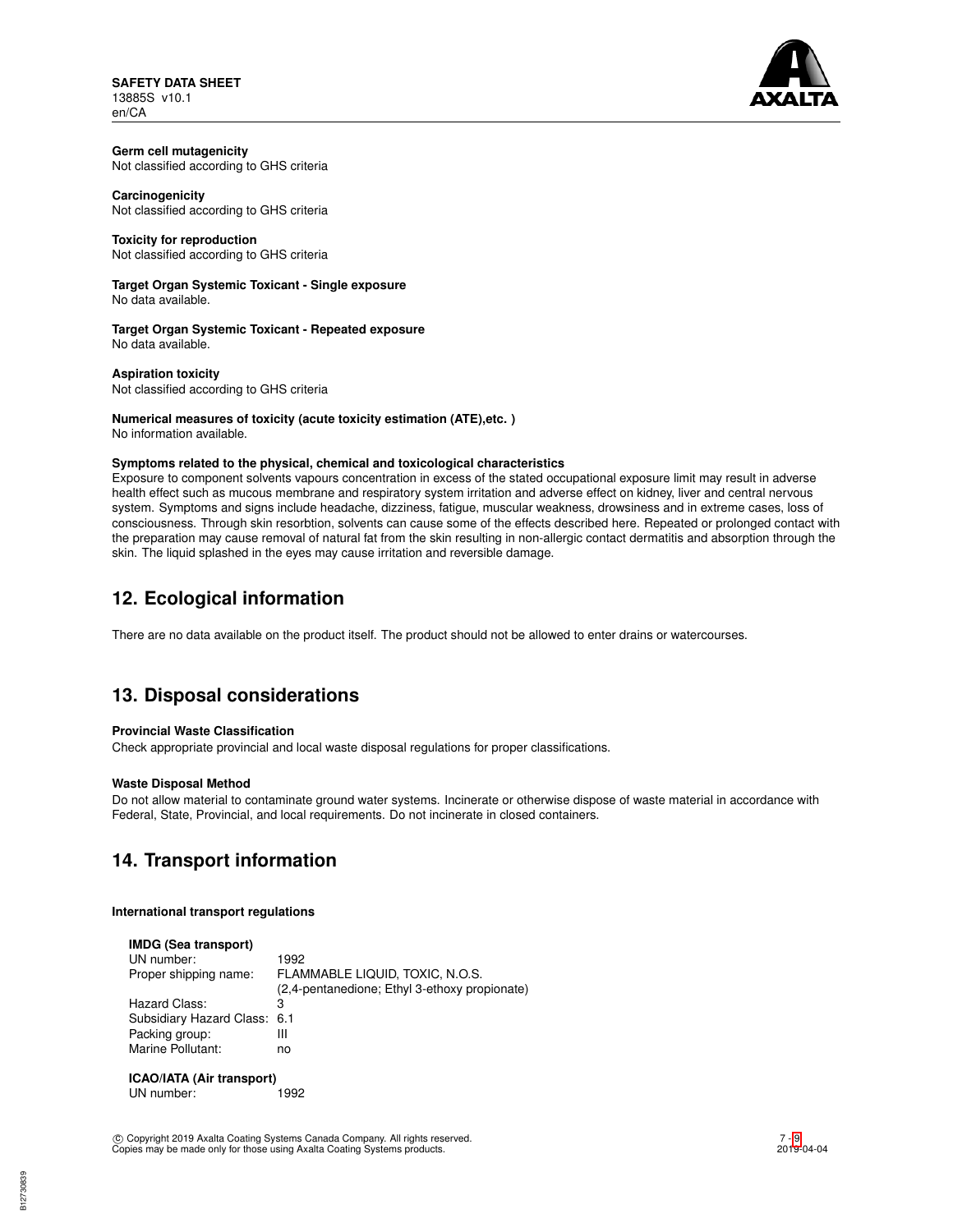**SAFETY DATA SHEET** 13885S v10.1 en/CA



# **Germ cell mutagenicity**

Not classified according to GHS criteria

# **Carcinogenicity**

Not classified according to GHS criteria

# **Toxicity for reproduction**

Not classified according to GHS criteria

### **Target Organ Systemic Toxicant - Single exposure** No data available.

**Target Organ Systemic Toxicant - Repeated exposure** No data available.

**Aspiration toxicity** Not classified according to GHS criteria

#### **Numerical measures of toxicity (acute toxicity estimation (ATE),etc. )** No information available.

## **Symptoms related to the physical, chemical and toxicological characteristics**

Exposure to component solvents vapours concentration in excess of the stated occupational exposure limit may result in adverse health effect such as mucous membrane and respiratory system irritation and adverse effect on kidney, liver and central nervous system. Symptoms and signs include headache, dizziness, fatigue, muscular weakness, drowsiness and in extreme cases, loss of consciousness. Through skin resorbtion, solvents can cause some of the effects described here. Repeated or prolonged contact with the preparation may cause removal of natural fat from the skin resulting in non-allergic contact dermatitis and absorption through the skin. The liquid splashed in the eyes may cause irritation and reversible damage.

# **12. Ecological information**

There are no data available on the product itself. The product should not be allowed to enter drains or watercourses.

# **13. Disposal considerations**

## **Provincial Waste Classification**

Check appropriate provincial and local waste disposal regulations for proper classifications.

## **Waste Disposal Method**

Do not allow material to contaminate ground water systems. Incinerate or otherwise dispose of waste material in accordance with Federal, State, Provincial, and local requirements. Do not incinerate in closed containers.

# **14. Transport information**

## **International transport regulations**

| <b>IMDG (Sea transport)</b>  |                                               |
|------------------------------|-----------------------------------------------|
| UN number:                   | 1992                                          |
| Proper shipping name:        | FLAMMABLE LIQUID, TOXIC, N.O.S.               |
|                              | (2,4-pentanedione; Ethyl 3-ethoxy propionate) |
| Hazard Class:                | 3                                             |
| Subsidiary Hazard Class: 6.1 |                                               |
| Packing group:               | Ш                                             |
| Marine Pollutant:            | no                                            |
|                              |                                               |
|                              |                                               |

**ICAO/IATA (Air transport)** UN number: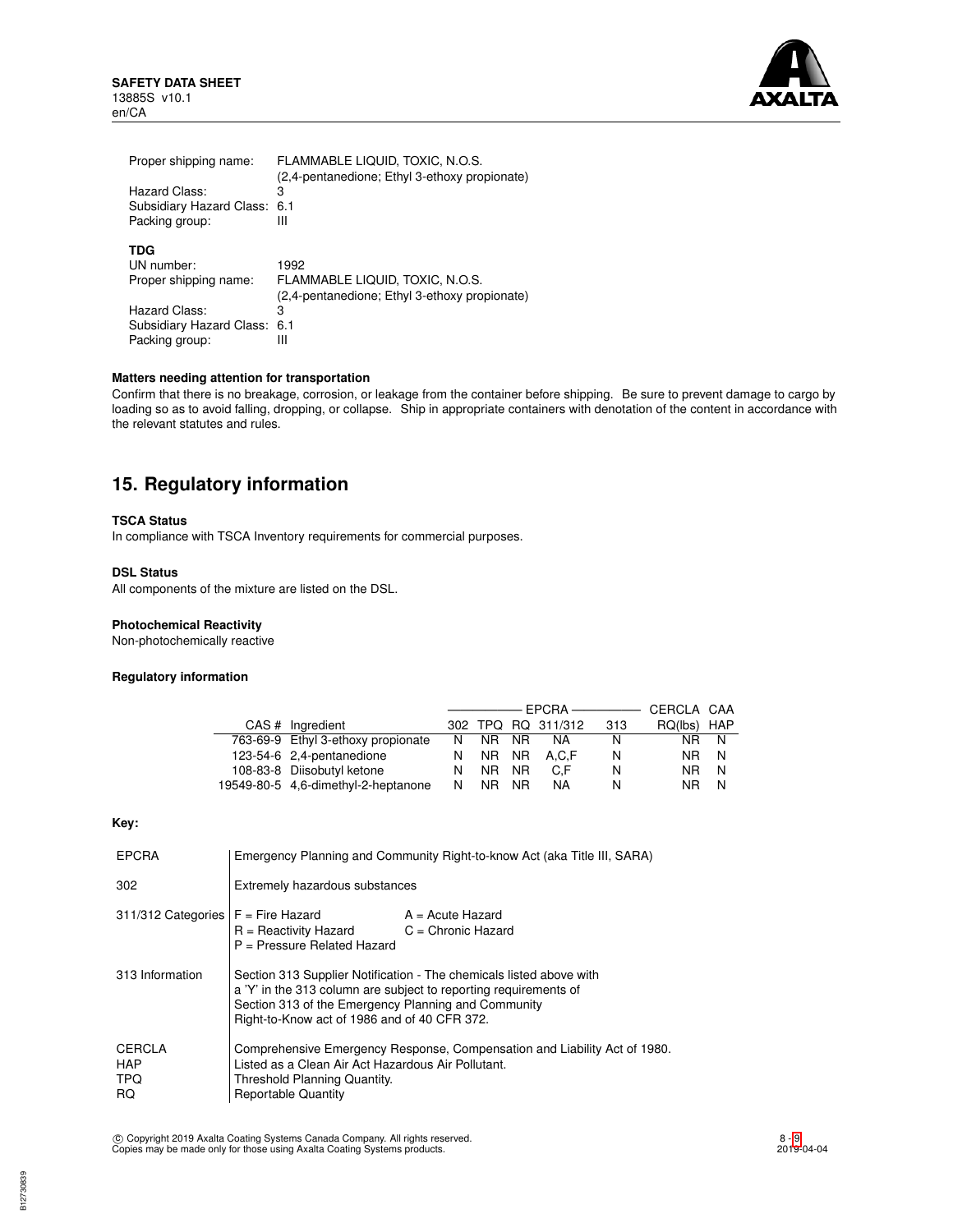**SAFETY DATA SHEET** 13885S v10.1 en/CA



| Proper shipping name:<br>Hazard Class:<br>Subsidiary Hazard Class:<br>Packing group: | FLAMMABLE LIQUID, TOXIC, N.O.S.<br>(2,4-pentanedione; Ethyl 3-ethoxy propionate)<br>3<br>6.1<br>Ш |
|--------------------------------------------------------------------------------------|---------------------------------------------------------------------------------------------------|
| TDG                                                                                  | 1992                                                                                              |
| UN number:                                                                           | FLAMMABLE LIQUID, TOXIC, N.O.S.                                                                   |
| Proper shipping name:                                                                | (2,4-pentanedione; Ethyl 3-ethoxy propionate)                                                     |
| Hazard Class:                                                                        | 3                                                                                                 |
| Subsidiary Hazard Class:                                                             | 6.1                                                                                               |
| Packing group:                                                                       | Ш                                                                                                 |

# **Matters needing attention for transportation**

Confirm that there is no breakage, corrosion, or leakage from the container before shipping. Be sure to prevent damage to cargo by loading so as to avoid falling, dropping, or collapse. Ship in appropriate containers with denotation of the content in accordance with the relevant statutes and rules.

# **15. Regulatory information**

### **TSCA Status**

In compliance with TSCA Inventory requirements for commercial purposes.

# **DSL Status**

All components of the mixture are listed on the DSL.

### **Photochemical Reactivity**

Non-photochemically reactive

### **Regulatory information**

|  |                                     |    |           |           |                    |     | CERCLA CAA  |     |
|--|-------------------------------------|----|-----------|-----------|--------------------|-----|-------------|-----|
|  | CAS # Ingredient                    |    |           |           | 302 TPQ RQ 311/312 | 313 | RQ(lbs) HAP |     |
|  | 763-69-9 Ethyl 3-ethoxy propionate  | N. | NR.       | NR.       | NA.                | N   | NR.         | - N |
|  | 123-54-6 2,4-pentanedione           | N  |           |           | NR NR A.C.F        | N   | NR N        |     |
|  | 108-83-8 Diisobutyl ketone          | N  | NR NR     |           | C.F                | N   | NR N        |     |
|  | 19549-80-5 4,6-dimethyl-2-heptanone | N  | <b>NR</b> | <b>NR</b> | <b>NA</b>          | N   | NR.         | N   |

# **Key:**

| <b>EPCRA</b>                                     | Emergency Planning and Community Right-to-know Act (aka Title III, SARA)                                                                                                                                                                       |  |  |
|--------------------------------------------------|------------------------------------------------------------------------------------------------------------------------------------------------------------------------------------------------------------------------------------------------|--|--|
| 302                                              | Extremely hazardous substances                                                                                                                                                                                                                 |  |  |
| $311/312$ Categories $F =$ Fire Hazard           | $A = Acute$ Hazard<br>$C =$ Chronic Hazard<br>$R =$ Reactivity Hazard<br>P = Pressure Related Hazard                                                                                                                                           |  |  |
| 313 Information                                  | Section 313 Supplier Notification - The chemicals listed above with<br>a 'Y' in the 313 column are subject to reporting requirements of<br>Section 313 of the Emergency Planning and Community<br>Right-to-Know act of 1986 and of 40 CFR 372. |  |  |
| <b>CERCLA</b><br><b>HAP</b><br>TPQ.<br><b>RQ</b> | Comprehensive Emergency Response, Compensation and Liability Act of 1980.<br>Listed as a Clean Air Act Hazardous Air Pollutant.<br>Threshold Planning Quantity.<br><b>Reportable Quantity</b>                                                  |  |  |